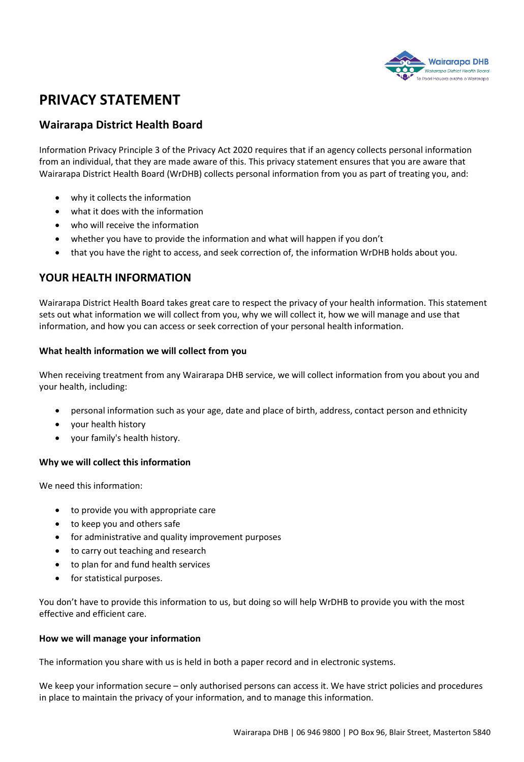

# **PRIVACY STATEMENT**

# **Wairarapa District Health Board**

Information Privacy Principle 3 of the Privacy Act 2020 requires that if an agency collects personal information from an individual, that they are made aware of this. This privacy statement ensures that you are aware that Wairarapa District Health Board (WrDHB) collects personal information from you as part of treating you, and:

- why it collects the information
- what it does with the information
- who will receive the information
- whether you have to provide the information and what will happen if you don't
- that you have the right to access, and seek correction of, the information WrDHB holds about you.

# **YOUR HEALTH INFORMATION**

Wairarapa District Health Board takes great care to respect the privacy of your health information. This statement sets out what information we will collect from you, why we will collect it, how we will manage and use that information, and how you can access or seek correction of your personal health information.

# **What health information we will collect from you**

When receiving treatment from any Wairarapa DHB service, we will collect information from you about you and your health, including:

- personal information such as your age, date and place of birth, address, contact person and ethnicity
- your health history
- your family's health history.

# **Why we will collect this information**

We need this information:

- to provide you with appropriate care
- to keep you and others safe
- for administrative and quality improvement purposes
- to carry out teaching and research
- to plan for and fund health services
- for statistical purposes.

You don't have to provide this information to us, but doing so will help WrDHB to provide you with the most effective and efficient care.

## **How we will manage your information**

The information you share with us is held in both a paper record and in electronic systems.

We keep your information secure – only authorised persons can access it. We have strict policies and procedures in place to maintain the privacy of your information, and to manage this information.